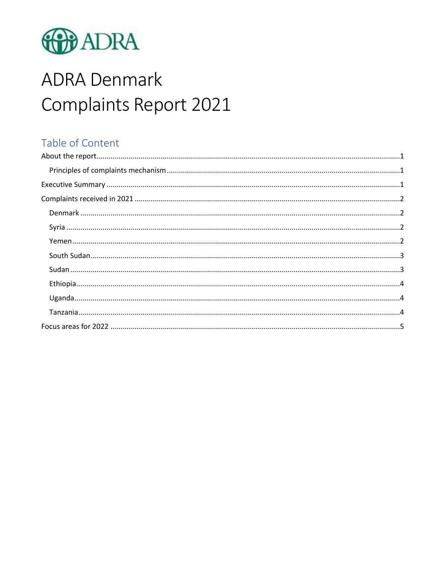

# **ADRA Denmark** Complaints Report 2021

# Table of Content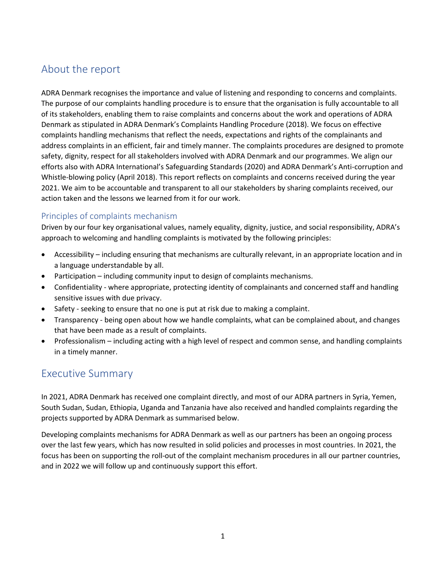# <span id="page-1-0"></span>About the report

ADRA Denmark recognises the importance and value of listening and responding to concerns and complaints. The purpose of our complaints handling procedure is to ensure that the organisation is fully accountable to all of its stakeholders, enabling them to raise complaints and concerns about the work and operations of ADRA Denmark as stipulated in ADRA Denmark's Complaints Handling Procedure (2018). We focus on effective complaints handling mechanisms that reflect the needs, expectations and rights of the complainants and address complaints in an efficient, fair and timely manner. The complaints procedures are designed to promote safety, dignity, respect for all stakeholders involved with ADRA Denmark and our programmes. We align our efforts also with ADRA International's Safeguarding Standards (2020) and ADRA Denmark's Anti-corruption and Whistle-blowing policy (April 2018). This report reflects on complaints and concerns received during the year 2021. We aim to be accountable and transparent to all our stakeholders by sharing complaints received, our action taken and the lessons we learned from it for our work.

#### <span id="page-1-1"></span>Principles of complaints mechanism

Driven by our four key organisational values, namely equality, dignity, justice, and social responsibility, ADRA's approach to welcoming and handling complaints is motivated by the following principles:

- Accessibility including ensuring that mechanisms are culturally relevant, in an appropriate location and in a language understandable by all.
- Participation including community input to design of complaints mechanisms.
- Confidentiality where appropriate, protecting identity of complainants and concerned staff and handling sensitive issues with due privacy.
- Safety seeking to ensure that no one is put at risk due to making a complaint.
- Transparency being open about how we handle complaints, what can be complained about, and changes that have been made as a result of complaints.
- Professionalism including acting with a high level of respect and common sense, and handling complaints in a timely manner.

### <span id="page-1-2"></span>Executive Summary

In 2021, ADRA Denmark has received one complaint directly, and most of our ADRA partners in Syria, Yemen, South Sudan, Sudan, Ethiopia, Uganda and Tanzania have also received and handled complaints regarding the projects supported by ADRA Denmark as summarised below.

Developing complaints mechanisms for ADRA Denmark as well as our partners has been an ongoing process over the last few years, which has now resulted in solid policies and processes in most countries. In 2021, the focus has been on supporting the roll-out of the complaint mechanism procedures in all our partner countries, and in 2022 we will follow up and continuously support this effort.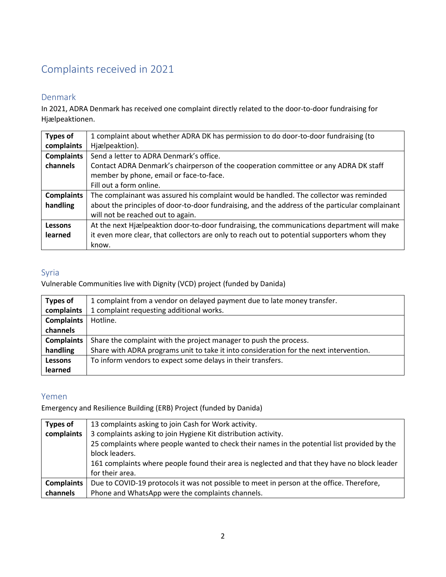# <span id="page-2-0"></span>Complaints received in 2021

#### <span id="page-2-1"></span>Denmark

In 2021, ADRA Denmark has received one complaint directly related to the door-to-door fundraising for Hjælpeaktionen.

| Types of          | 1 complaint about whether ADRA DK has permission to do door-to-door fundraising (to             |
|-------------------|-------------------------------------------------------------------------------------------------|
| complaints        | Hjælpeaktion).                                                                                  |
| <b>Complaints</b> | Send a letter to ADRA Denmark's office.                                                         |
| channels          | Contact ADRA Denmark's chairperson of the cooperation committee or any ADRA DK staff            |
|                   | member by phone, email or face-to-face.                                                         |
|                   | Fill out a form online.                                                                         |
| <b>Complaints</b> | The complainant was assured his complaint would be handled. The collector was reminded          |
| handling          | about the principles of door-to-door fundraising, and the address of the particular complainant |
|                   | will not be reached out to again.                                                               |
| <b>Lessons</b>    | At the next Hjælpeaktion door-to-door fundraising, the communications department will make      |
| learned           | it even more clear, that collectors are only to reach out to potential supporters whom they     |
|                   | know.                                                                                           |

#### <span id="page-2-2"></span>Syria

Vulnerable Communities live with Dignity (VCD) project (funded by Danida)

| <b>Types of</b>   | 1 complaint from a vendor on delayed payment due to late money transfer.               |
|-------------------|----------------------------------------------------------------------------------------|
| complaints        | 1 complaint requesting additional works.                                               |
| <b>Complaints</b> | Hotline.                                                                               |
| channels          |                                                                                        |
| <b>Complaints</b> | Share the complaint with the project manager to push the process.                      |
| handling          | Share with ADRA programs unit to take it into consideration for the next intervention. |
| <b>Lessons</b>    | To inform vendors to expect some delays in their transfers.                            |
| learned           |                                                                                        |

#### <span id="page-2-3"></span>Yemen

Emergency and Resilience Building (ERB) Project (funded by Danida)

| <b>Types of</b>   | 13 complaints asking to join Cash for Work activity.                                         |
|-------------------|----------------------------------------------------------------------------------------------|
| complaints        | 3 complaints asking to join Hygiene Kit distribution activity.                               |
|                   | 25 complaints where people wanted to check their names in the potential list provided by the |
|                   | block leaders.                                                                               |
|                   | 161 complaints where people found their area is neglected and that they have no block leader |
|                   | for their area.                                                                              |
| <b>Complaints</b> | Due to COVID-19 protocols it was not possible to meet in person at the office. Therefore,    |
| channels          | Phone and WhatsApp were the complaints channels.                                             |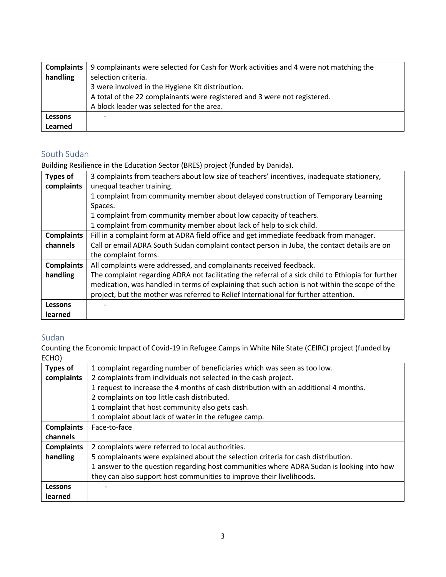| Complaints | 9 complainants were selected for Cash for Work activities and 4 were not matching the |
|------------|---------------------------------------------------------------------------------------|
| handling   | selection criteria.                                                                   |
|            | 3 were involved in the Hygiene Kit distribution.                                      |
|            | A total of the 22 complainants were registered and 3 were not registered.             |
|            | A block leader was selected for the area.                                             |
| Lessons    |                                                                                       |
| Learned    |                                                                                       |

#### <span id="page-3-0"></span>South Sudan

Building Resilience in the Education Sector (BRES) project (funded by Danida).

| <b>Types of</b>   | 3 complaints from teachers about low size of teachers' incentives, inadequate stationery,          |
|-------------------|----------------------------------------------------------------------------------------------------|
| complaints        | unequal teacher training.                                                                          |
|                   | 1 complaint from community member about delayed construction of Temporary Learning                 |
|                   | Spaces.                                                                                            |
|                   | 1 complaint from community member about low capacity of teachers.                                  |
|                   | 1 complaint from community member about lack of help to sick child.                                |
| <b>Complaints</b> | Fill in a complaint form at ADRA field office and get immediate feedback from manager.             |
| channels          | Call or email ADRA South Sudan complaint contact person in Juba, the contact details are on        |
|                   | the complaint forms.                                                                               |
| <b>Complaints</b> | All complaints were addressed, and complainants received feedback.                                 |
| handling          | The complaint regarding ADRA not facilitating the referral of a sick child to Ethiopia for further |
|                   | medication, was handled in terms of explaining that such action is not within the scope of the     |
|                   | project, but the mother was referred to Relief International for further attention.                |
| <b>Lessons</b>    |                                                                                                    |
| learned           |                                                                                                    |

#### <span id="page-3-1"></span>Sudan

Counting the Economic Impact of Covid-19 in Refugee Camps in White Nile State (CEIRC) project (funded by ECHO)

| <b>Types of</b>   | 1 complaint regarding number of beneficiaries which was seen as too low.                 |
|-------------------|------------------------------------------------------------------------------------------|
| complaints        | 2 complaints from individuals not selected in the cash project.                          |
|                   | 1 request to increase the 4 months of cash distribution with an additional 4 months.     |
|                   | 2 complaints on too little cash distributed.                                             |
|                   | 1 complaint that host community also gets cash.                                          |
|                   | 1 complaint about lack of water in the refugee camp.                                     |
| <b>Complaints</b> | Face-to-face                                                                             |
| channels          |                                                                                          |
| <b>Complaints</b> | 2 complaints were referred to local authorities.                                         |
| handling          | 5 complainants were explained about the selection criteria for cash distribution.        |
|                   | 1 answer to the question regarding host communities where ADRA Sudan is looking into how |
|                   | they can also support host communities to improve their livelihoods.                     |
| <b>Lessons</b>    |                                                                                          |
| learned           |                                                                                          |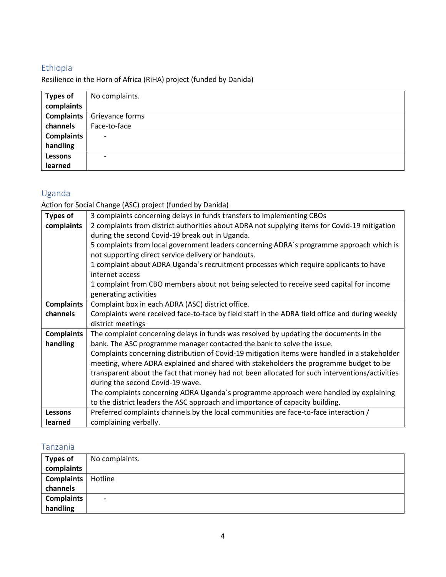## <span id="page-4-0"></span>Ethiopia

Resilience in the Horn of Africa (RiHA) project (funded by Danida)

| <b>Types of</b>   | No complaints.           |
|-------------------|--------------------------|
| complaints        |                          |
| Complaints        | Grievance forms          |
| channels          | Face-to-face             |
| <b>Complaints</b> | $\overline{\phantom{0}}$ |
| handling          |                          |
| Lessons           | $\overline{\phantom{0}}$ |
| learned           |                          |

## <span id="page-4-1"></span>Uganda

Action for Social Change (ASC) project (funded by Danida)

| <b>Types of</b>   | 3 complaints concerning delays in funds transfers to implementing CBOs                          |
|-------------------|-------------------------------------------------------------------------------------------------|
|                   |                                                                                                 |
| complaints        | 2 complaints from district authorities about ADRA not supplying items for Covid-19 mitigation   |
|                   | during the second Covid-19 break out in Uganda.                                                 |
|                   | 5 complaints from local government leaders concerning ADRA's programme approach which is        |
|                   | not supporting direct service delivery or handouts.                                             |
|                   | 1 complaint about ADRA Uganda's recruitment processes which require applicants to have          |
|                   | internet access                                                                                 |
|                   | 1 complaint from CBO members about not being selected to receive seed capital for income        |
|                   | generating activities                                                                           |
| <b>Complaints</b> | Complaint box in each ADRA (ASC) district office.                                               |
| channels          | Complaints were received face-to-face by field staff in the ADRA field office and during weekly |
|                   | district meetings                                                                               |
| <b>Complaints</b> | The complaint concerning delays in funds was resolved by updating the documents in the          |
| handling          | bank. The ASC programme manager contacted the bank to solve the issue.                          |
|                   | Complaints concerning distribution of Covid-19 mitigation items were handled in a stakeholder   |
|                   | meeting, where ADRA explained and shared with stakeholders the programme budget to be           |
|                   | transparent about the fact that money had not been allocated for such interventions/activities  |
|                   | during the second Covid-19 wave.                                                                |
|                   | The complaints concerning ADRA Uganda's programme approach were handled by explaining           |
|                   | to the district leaders the ASC approach and importance of capacity building.                   |
| <b>Lessons</b>    | Preferred complaints channels by the local communities are face-to-face interaction /           |
| learned           | complaining verbally.                                                                           |

#### <span id="page-4-2"></span>Tanzania

| <b>Types of</b>   | No complaints. |
|-------------------|----------------|
| complaints        |                |
| <b>Complaints</b> | Hotline        |
| channels          |                |
| <b>Complaints</b> | -              |
| handling          |                |